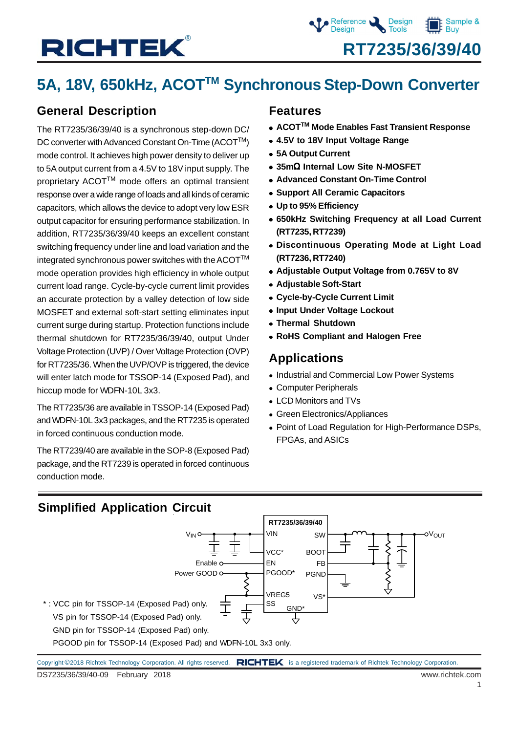## 5A, 18V, 650kHz, ACOT<sup>™</sup> Synchronous Step-Down Converter

### **General Description**

The RT7235/36/39/40 is a synchronous step-down DC/ DC converter with Advanced Constant On-Time (ACOT™) mode control. It achieves high power density to deliver up to 5A output current from a 4.5V to 18V input supply. The proprietary ACOT™ mode offers an optimal transient response over a wide range of loads and all kinds of ceramic capacitors, which allows the device to adopt very low ESR output capacitor for ensuring performance stabilization. In addition, RT7235/36/39/40 keeps an excellent constant switching frequency under line and load variation and the integrated synchronous power switches with the ACOT $^{TM}$ mode operation provides high efficiency in whole output current load range. Cycle-by-cycle current limit provides an accurate protection by a valley detection of low side MOSFET and external soft-start setting eliminates input current surge during startup. Protection functions include thermal shutdown for RT7235/36/39/40, output Under Voltage Protection (UVP) / Over Voltage Protection (OVP) for RT7235/36. When the UVP/OVP is triggered, the device will enter latch mode for TSSOP-14 (Exposed Pad), and hiccup mode for WDFN-10L 3x3.

The RT7235/36 are available in TSSOP-14 (Exposed Pad) and WDFN-10L 3x3 packages, and the RT7235 is operated in forced continuous conduction mode.

The RT7239/40 are available in the SOP-8 (Exposed Pad) package, and the RT7239 is operated in forced continuous conduction mode.

### **Features**

- ACOT<sup>™</sup> Mode Enables Fast Transient Response
- <sup>z</sup> **4.5V to 18V Input Voltage Range**
- <sup>z</sup> **5A Output Current**
- <sup>z</sup> **35m**Ω **Internal Low Site N-MOSFET**
- **Advanced Constant On-Time Control**
- **Support All Ceramic Capacitors**
- $\bullet$  **Up to 95% Efficiency**
- $\bullet$  **650kHz Switching Frequency at all Load Current (RT7235, RT7239)**
- **.** Discontinuous Operating Mode at Light Load **(RT7236, RT7240)**
- <sup>z</sup> **Adjustable Output Voltage from 0.765V to 8V**
- **Adjustable Soft-Start**
- **Cycle-by-Cycle Current Limit**
- **Input Under Voltage Lockout**
- **Thermal Shutdown**
- **RoHS Compliant and Halogen Free**

### **Applications**

- Industrial and Commercial Low Power Systems
- Computer Peripherals
- LCD Monitors and TVs
- Green Electronics/Appliances
- Point of Load Regulation for High-Performance DSPs, FPGAs, and ASICs

### **Simplified Application Circuit**

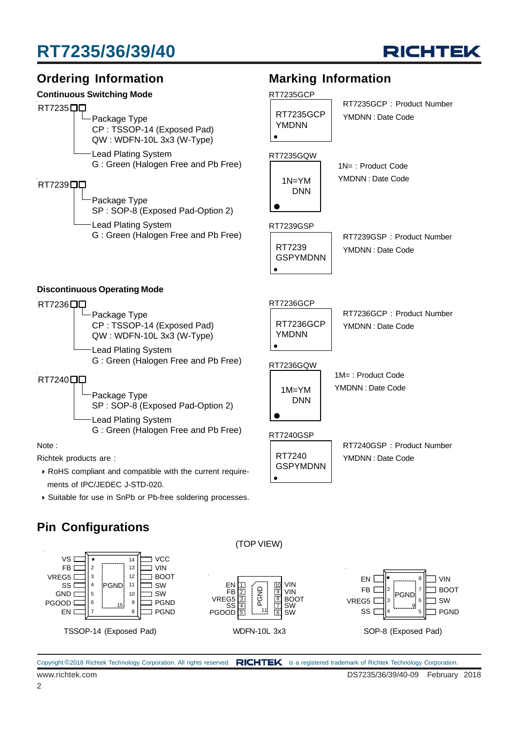



- ` RoHS compliant and compatible with the current require ments of IPC/JEDEC J-STD-020.
- ` Suitable for use in SnPb or Pb-free soldering processes.

### **Pin Configurations**

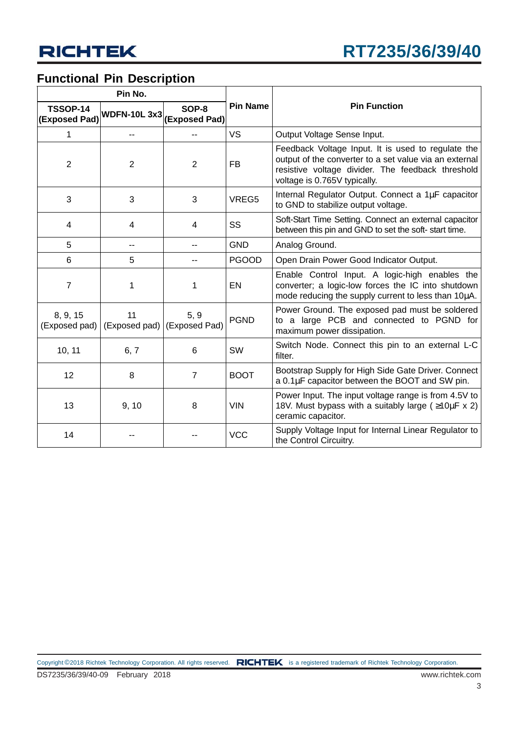### **Functional Pin Description**

|                                  | Pin No.                                               |                                     |                 |                                                                                                                                                                                                   |
|----------------------------------|-------------------------------------------------------|-------------------------------------|-----------------|---------------------------------------------------------------------------------------------------------------------------------------------------------------------------------------------------|
| <b>TSSOP-14</b><br>(Exposed Pad) | $\sqrt{\textsf{WDFN-10L 3x3} (\textsf{Exposed Pad})}$ | SOP-8                               | <b>Pin Name</b> | <b>Pin Function</b>                                                                                                                                                                               |
| 1                                | --                                                    |                                     | <b>VS</b>       | Output Voltage Sense Input.                                                                                                                                                                       |
| $\overline{2}$                   | $\overline{2}$                                        | $\overline{2}$                      | <b>FB</b>       | Feedback Voltage Input. It is used to regulate the<br>output of the converter to a set value via an external<br>resistive voltage divider. The feedback threshold<br>voltage is 0.765V typically. |
| 3                                | 3                                                     | 3                                   | VREG5           | Internal Regulator Output. Connect a 1µF capacitor<br>to GND to stabilize output voltage.                                                                                                         |
| $\overline{4}$                   | 4                                                     | 4                                   | SS              | Soft-Start Time Setting. Connect an external capacitor<br>between this pin and GND to set the soft-start time.                                                                                    |
| 5                                | --                                                    |                                     | <b>GND</b>      | Analog Ground.                                                                                                                                                                                    |
| 6                                | 5                                                     |                                     | <b>PGOOD</b>    | Open Drain Power Good Indicator Output.                                                                                                                                                           |
| $\overline{7}$                   | 1                                                     | 1                                   | EN              | Enable Control Input. A logic-high enables the<br>converter; a logic-low forces the IC into shutdown<br>mode reducing the supply current to less than 10µA.                                       |
| 8, 9, 15<br>(Exposed pad)        | 11                                                    | 5, 9<br>(Exposed pad) (Exposed Pad) | <b>PGND</b>     | Power Ground. The exposed pad must be soldered<br>to a large PCB and connected to PGND for<br>maximum power dissipation.                                                                          |
| 10, 11                           | 6, 7                                                  | 6                                   | SW              | Switch Node. Connect this pin to an external L-C<br>filter.                                                                                                                                       |
| 12                               | 8                                                     | $\overline{7}$                      | <b>BOOT</b>     | Bootstrap Supply for High Side Gate Driver. Connect<br>a 0.1µF capacitor between the BOOT and SW pin.                                                                                             |
| 13                               | 9, 10                                                 | 8                                   | <b>VIN</b>      | Power Input. The input voltage range is from 4.5V to<br>18V. Must bypass with a suitably large ( $\geq 10 \mu$ F x 2)<br>ceramic capacitor.                                                       |
| 14                               |                                                       |                                     | <b>VCC</b>      | Supply Voltage Input for Internal Linear Regulator to<br>the Control Circuitry.                                                                                                                   |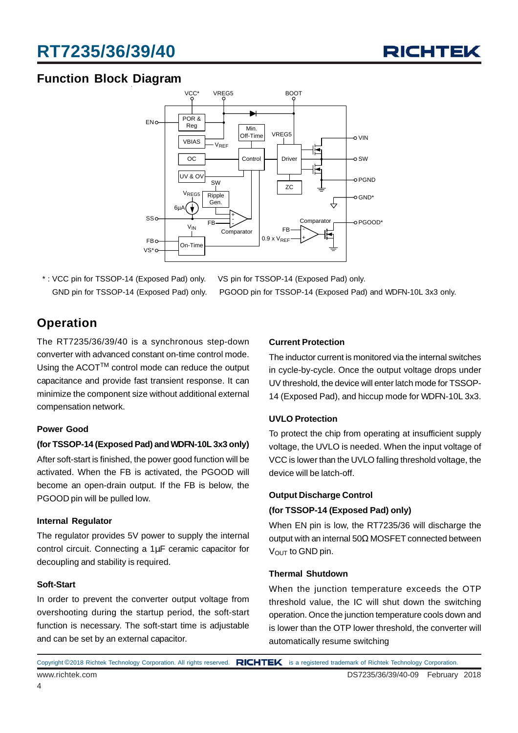

### **Function Block Diagram**



\* : VCC pin for TSSOP-14 (Exposed Pad) only. VS pin for TSSOP-14 (Exposed Pad) only.

GND pin for TSSOP-14 (Exposed Pad) only. PGOOD pin for TSSOP-14 (Exposed Pad) and WDFN-10L 3x3 only.

### **Operation**

The RT7235/36/39/40 is a synchronous step-down converter with advanced constant on-time control mode. Using the ACOT™ control mode can reduce the output capacitance and provide fast transient response. It can minimize the component size without additional external compensation network.

#### **Power Good**

#### **(for TSSOP-14 (Exposed Pad) and WDFN-10L 3x3 only)**

After soft-start is finished, the power good function will be activated. When the FB is activated, the PGOOD will become an open-drain output. If the FB is below, the PGOOD pin will be pulled low.

#### **Internal Regulator**

The regulator provides 5V power to supply the internal control circuit. Connecting a 1µF ceramic capacitor for decoupling and stability is required.

#### **Soft-Start**

In order to prevent the converter output voltage from overshooting during the startup period, the soft-start function is necessary. The soft-start time is adjustable and can be set by an external capacitor.

#### **Current Protection**

The inductor current is monitored via the internal switches in cycle-by-cycle. Once the output voltage drops under UV threshold, the device will enter latch mode for TSSOP-14 (Exposed Pad), and hiccup mode for WDFN-10L 3x3.

#### **UVLO Protection**

To protect the chip from operating at insufficient supply voltage, the UVLO is needed. When the input voltage of VCC is lower than the UVLO falling threshold voltage, the device will be latch-off.

#### **Output Discharge Control**

#### **(for TSSOP-14 (Exposed Pad) only)**

When EN pin is low, the RT7235/36 will discharge the output with an internal 50Ω MOSFET connected between V<sub>OUT</sub> to GND pin.

#### **Thermal Shutdown**

When the junction temperature exceeds the OTP threshold value, the IC will shut down the switching operation. Once the junction temperature cools down and is lower than the OTP lower threshold, the converter will automatically resume switching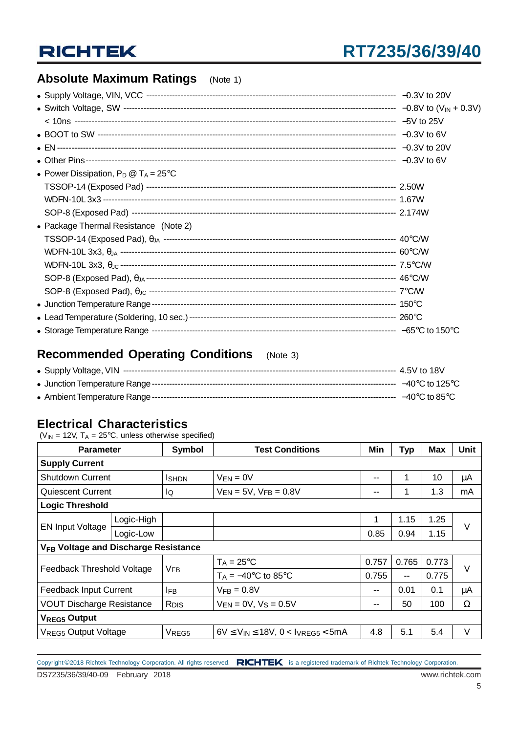### **Absolute Maximum Ratings** (Note 1)

| • Power Dissipation, $P_D @ T_A = 25^{\circ}C$ |  |
|------------------------------------------------|--|
|                                                |  |
|                                                |  |
|                                                |  |
| • Package Thermal Resistance (Note 2)          |  |
|                                                |  |
|                                                |  |
|                                                |  |
|                                                |  |
|                                                |  |
|                                                |  |
|                                                |  |
|                                                |  |

### **Recommended Operating Conditions** (Note 3)

### **Electrical Characteristics**

( $V_{IN}$  = 12V,  $T_A$  = 25°C, unless otherwise specified)

| <b>Parameter</b>                                 |            | <b>Symbol</b>           | <b>Test Conditions</b>                            | Min   | <b>Typ</b>    | Max   | <b>Unit</b> |
|--------------------------------------------------|------------|-------------------------|---------------------------------------------------|-------|---------------|-------|-------------|
| <b>Supply Current</b>                            |            |                         |                                                   |       |               |       |             |
| <b>Shutdown Current</b>                          |            | <b>I</b> SHDN           | $V_{EN} = 0V$                                     | $- -$ | 1             | 10    | μA          |
| Quiescent Current                                |            | IQ                      | $V_{EN} = 5V$ , $V_{FB} = 0.8V$                   | --    | 1             | 1.3   | mA          |
| <b>Logic Threshold</b>                           |            |                         |                                                   |       |               |       |             |
| <b>EN Input Voltage</b>                          | Logic-High |                         |                                                   | 1     | 1.15          | 1.25  | V           |
|                                                  | Logic-Low  |                         |                                                   | 0.85  | 0.94          | 1.15  |             |
| V <sub>FB</sub> Voltage and Discharge Resistance |            |                         |                                                   |       |               |       |             |
|                                                  |            | <b>V<sub>FB</sub></b>   | $T_A = 25$ °C                                     | 0.757 | 0.765         | 0.773 | $\vee$      |
| Feedback Threshold Voltage                       |            |                         | $T_A = -40$ °C to 85°C                            | 0.755 | $\sim$ $\sim$ | 0.775 |             |
| <b>Feedback Input Current</b>                    |            | <b>IFB</b>              | $VFR = 0.8V$                                      | $- -$ | 0.01          | 0.1   | μA          |
| <b>VOUT Discharge Resistance</b>                 |            | <b>R</b> <sub>DIS</sub> | $V_{EN} = 0V$ , $V_S = 0.5V$                      | --    | 50            | 100   | Ω           |
| <b>VREG5 Output</b>                              |            |                         |                                                   |       |               |       |             |
| <b>VREG5 Output Voltage</b>                      |            | VREG5                   | $6V \leq V_{IN} \leq 18V$ , $0 < V_{VERGS} < 5mA$ | 4.8   | 5.1           | 5.4   | V           |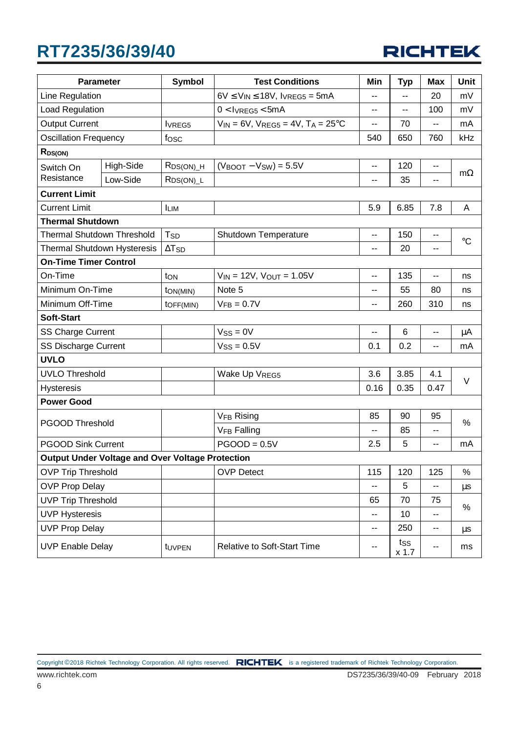

| <b>Parameter</b>                                        |           | <b>Symbol</b>            | <b>Test Conditions</b>                                | Min  | <b>Typ</b>     | <b>Max</b> | <b>Unit</b>     |
|---------------------------------------------------------|-----------|--------------------------|-------------------------------------------------------|------|----------------|------------|-----------------|
| Line Regulation                                         |           |                          | $6V \leq V_{IN} \leq 18V$ , IVREG5 = 5mA              | --   | $\overline{a}$ | 20         | mV              |
| Load Regulation                                         |           |                          | $0 < I$ <sub>VREG5</sub> $< 5$ mA                     | --   | --             | 100        | mV              |
| <b>Output Current</b>                                   |           | <b>IVREG5</b>            | $V_{IN} = 6V$ , $V_{REG5} = 4V$ , $T_A = 25^{\circ}C$ | --   | 70             | $-$        | mA              |
| <b>Oscillation Frequency</b>                            |           | fosc                     |                                                       | 540  | 650            | 760        | kHz             |
| R <sub>DS(ON)</sub>                                     |           |                          |                                                       |      |                |            |                 |
| Switch On                                               | High-Side | R <sub>DS(ON)_H</sub>    | $(V_{\text{BOOT}} - V_{\text{SW}}) = 5.5V$            | --   | 120            | --         | $m\Omega$       |
| Resistance                                              | Low-Side  | $RDS(ON)$ <sub>L</sub>   |                                                       | --   | 35             | --         |                 |
| <b>Current Limit</b>                                    |           |                          |                                                       |      |                |            |                 |
| <b>Current Limit</b>                                    |           | <b>ILIM</b>              |                                                       | 5.9  | 6.85           | 7.8        | A               |
| <b>Thermal Shutdown</b>                                 |           |                          |                                                       |      |                |            |                 |
| <b>Thermal Shutdown Threshold</b>                       |           | T <sub>SD</sub>          | Shutdown Temperature                                  | --   | 150            | --         | $\rm ^{\circ}C$ |
| Thermal Shutdown Hysteresis                             |           | $\Delta$ T <sub>SD</sub> |                                                       | --   | 20             | --         |                 |
| <b>On-Time Timer Control</b>                            |           |                          |                                                       |      |                |            |                 |
| On-Time                                                 |           | ton                      | $V_{IN} = 12V$ , $V_{OUT} = 1.05V$                    | --   | 135            |            | ns              |
| Minimum On-Time                                         |           | ton(MIN)                 | Note 5                                                | --   | 55             | 80         | ns              |
| Minimum Off-Time                                        |           | toFF(MIN)                | $VFB = 0.7V$                                          | --   | 260            | 310        | ns              |
| Soft-Start                                              |           |                          |                                                       |      |                |            |                 |
| <b>SS Charge Current</b>                                |           |                          | $V_{SS} = 0V$                                         | $-$  | 6              | --         | μA              |
| <b>SS Discharge Current</b>                             |           |                          | $V_{SS} = 0.5V$                                       | 0.1  | 0.2            | --         | mA              |
| <b>UVLO</b>                                             |           |                          |                                                       |      |                |            |                 |
| <b>UVLO Threshold</b>                                   |           |                          | Wake Up VREG5                                         | 3.6  | 3.85           | 4.1        | $\vee$          |
| <b>Hysteresis</b>                                       |           |                          |                                                       | 0.16 | 0.35           | 0.47       |                 |
| <b>Power Good</b>                                       |           |                          |                                                       |      |                |            |                 |
|                                                         |           |                          | V <sub>FB</sub> Rising                                | 85   | 90             | 95         | %               |
| <b>PGOOD Threshold</b>                                  |           |                          | <b>VFB Falling</b>                                    | ۰.   | 85             | --         |                 |
| <b>PGOOD Sink Current</b>                               |           |                          | $PGOOD = 0.5V$                                        | 2.5  | 5              | --         | mA              |
| <b>Output Under Voltage and Over Voltage Protection</b> |           |                          |                                                       |      |                |            |                 |
| <b>OVP Trip Threshold</b>                               |           |                          | <b>OVP Detect</b>                                     | 115  | 120            | 125        | $\%$            |
| <b>OVP Prop Delay</b>                                   |           |                          |                                                       | --   | 5              | --         | $\mu$ s         |
| <b>UVP Trip Threshold</b>                               |           |                          |                                                       | 65   | 70             | 75         | %               |
| <b>UVP Hysteresis</b>                                   |           |                          |                                                       | --   | 10             | --         |                 |
| <b>UVP Prop Delay</b>                                   |           |                          |                                                       | --   | 250            | --         | $\mu$ s         |
| <b>UVP Enable Delay</b>                                 |           | tUVPEN                   | <b>Relative to Soft-Start Time</b>                    | --   | tss<br>$x$ 1.7 |            | ms              |

6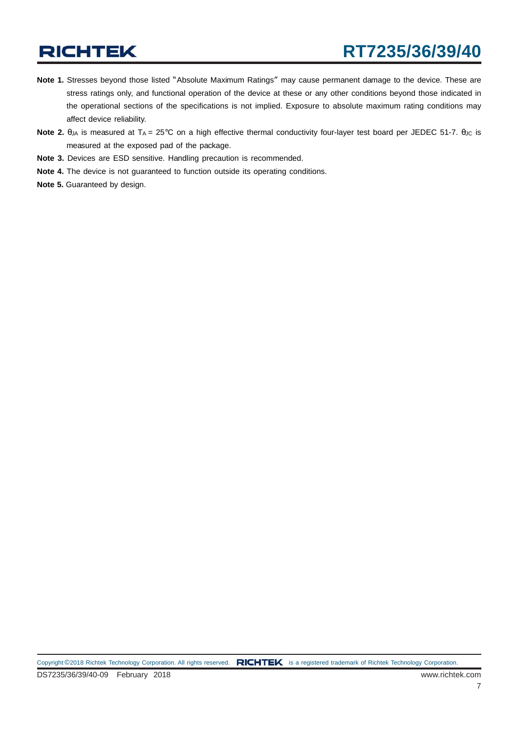- **Note 1.** Stresses beyond those listed "Absolute Maximum Ratings" may cause permanent damage to the device. These are stress ratings only, and functional operation of the device at these or any other conditions beyond those indicated in the operational sections of the specifications is not implied. Exposure to absolute maximum rating conditions may affect device reliability.
- **Note 2.** θ<sub>JA</sub> is measured at T<sub>A</sub> = 25°C on a high effective thermal conductivity four-layer test board per JEDEC 51-7. θ<sub>JC</sub> is measured at the exposed pad of the package.
- **Note 3.** Devices are ESD sensitive. Handling precaution is recommended.
- **Note 4.** The device is not guaranteed to function outside its operating conditions.
- **Note 5.** Guaranteed by design.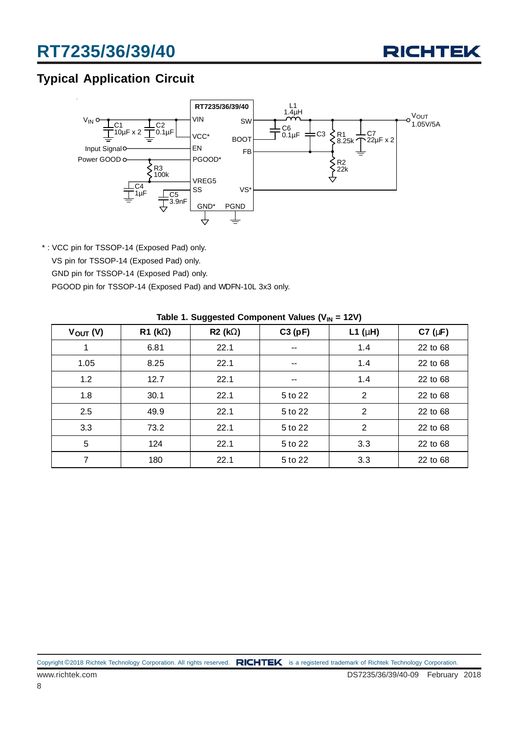

### **Typical Application Circuit**



\* : VCC pin for TSSOP-14 (Exposed Pad) only. VS pin for TSSOP-14 (Exposed Pad) only. GND pin for TSSOP-14 (Exposed Pad) only. PGOOD pin for TSSOP-14 (Exposed Pad) and WDFN-10L 3x3 only.

| $V_{OUT} (V)$ | $R1$ (kΩ) | $R2 (k\Omega)$ | C3(pF)                   | L1 ( $\mu$ H)  | C7 $(\mu F)$ |  |  |
|---------------|-----------|----------------|--------------------------|----------------|--------------|--|--|
|               | 6.81      | 22.1           | $\overline{\phantom{m}}$ | 1.4            | 22 to 68     |  |  |
| 1.05          | 8.25      | 22.1           | $\overline{\phantom{m}}$ | 1.4            | 22 to 68     |  |  |
| 1.2           | 12.7      | 22.1           | $\overline{\phantom{m}}$ | 1.4            | 22 to 68     |  |  |
| 1.8           | 30.1      | 22.1           | 5 to 22                  | 2              | 22 to 68     |  |  |
| 2.5           | 49.9      | 22.1           | 5 to 22                  | 2              | 22 to 68     |  |  |
| 3.3           | 73.2      | 22.1           | 5 to 22                  | $\overline{2}$ | 22 to 68     |  |  |
| 5             | 124       | 22.1           | 5 to 22                  | 3.3            | 22 to 68     |  |  |
| 7             | 180       | 22.1           | 5 to 22                  | 3.3            | 22 to 68     |  |  |

|  |  | Table 1. Suggested Component Values (V $_{\text{IN}}$ = 12V) |  |  |  |
|--|--|--------------------------------------------------------------|--|--|--|
|--|--|--------------------------------------------------------------|--|--|--|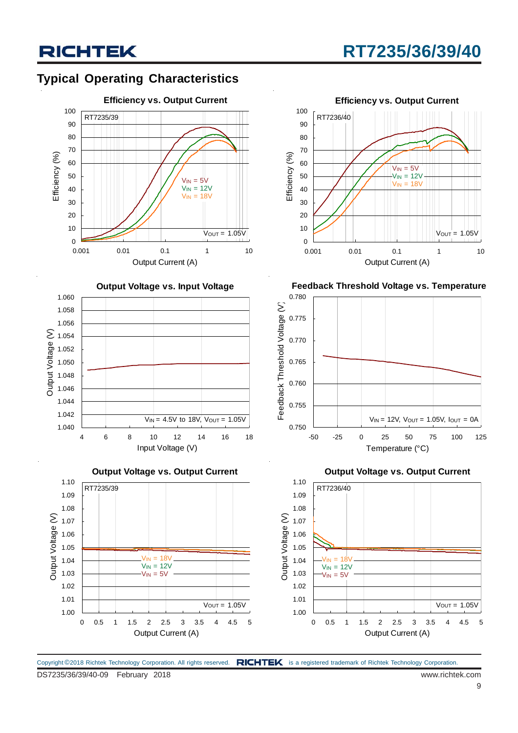### **Typical Operating Characteristics**



**Output Voltage vs. Input Voltage**



**Output Voltage vs. Output Current**





**Feedback Threshold Voltage vs. Temperature**



**Output Voltage vs. Output Current**



Copyright ©2018 Richtek Technology Corporation. All rights reserved. RICHTEK is a registered trademark of Richtek Technology Corporation.

## **RT7235/36/39/40**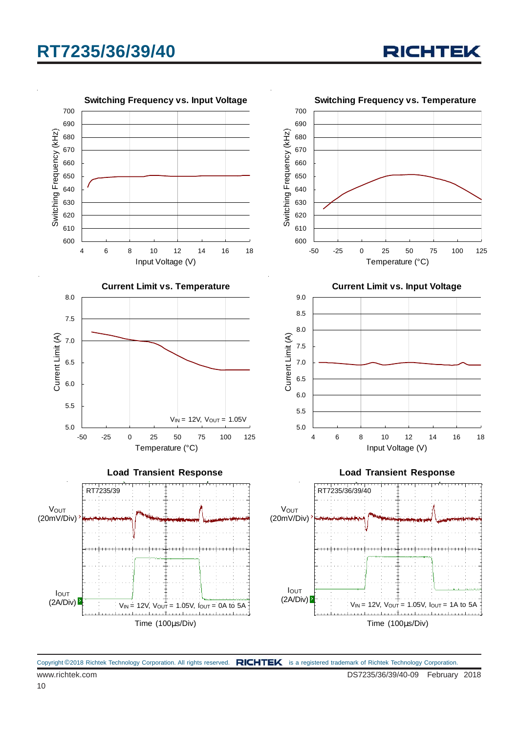700

**Switching Frequency vs. Input Voltage**



**RICHTEK** 

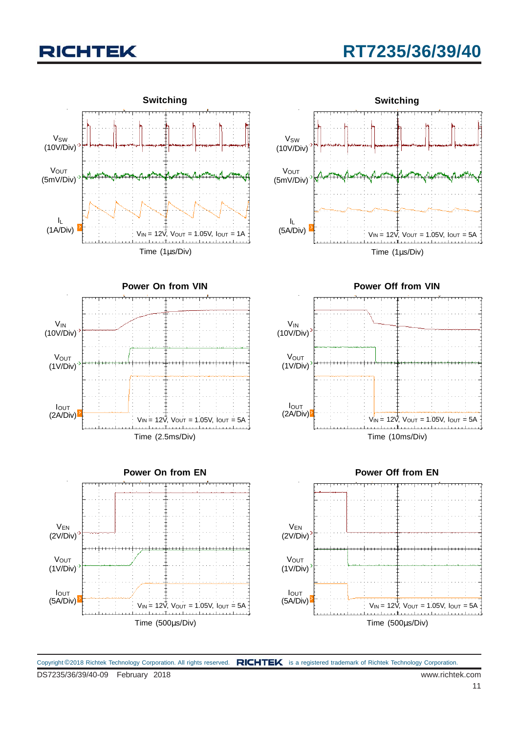## **RT7235/36/39/40**



Time (500µs/Div)  $V_{IN} = 12V$ ,  $V_{OUT} = 1.05V$ ,  $I_{OUT} = 5A$ (1V/Div) IOUT (5A/Div)

 $V_{IN} = 12V$ ,  $V_{OUT} = 1.05V$ ,  $I_{OUT} = 5A$ Time (1µs/Div) **Switching**





Copyright ©2018 Richtek Technology Corporation. All rights reserved. RICHTEK is a registered trademark of Richtek Technology Corporation.

**VOUT**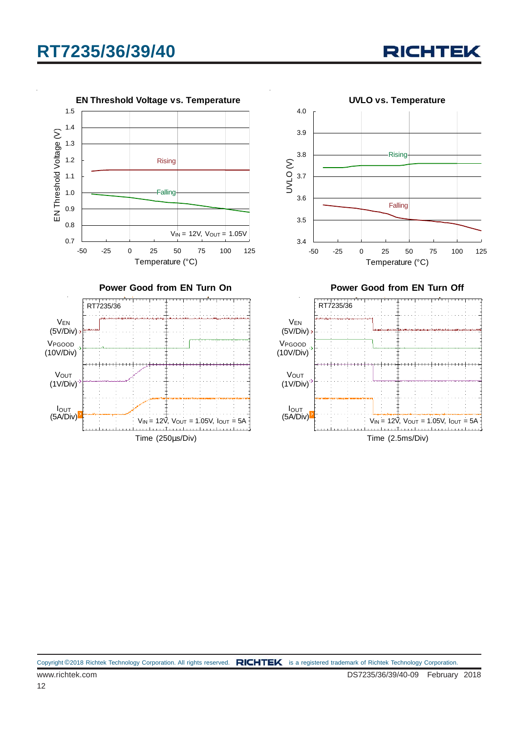

Time (250µs/Div)

Copyright ©2018 Richtek Technology Corporation. All rights reserved. RICHTEK is a registered trademark of Richtek Technology Corporation.

VEN (5V/Div)

0.7 0.8 0.9 1.0 1.1 1.2 1.3 1.4 1.5

EN Threshold Voltage (V)

EN Threshold Voltage (V)

VPGOOD (10V/Div)

> **Vout** (1V/Div)

IOUT (5A/Div)

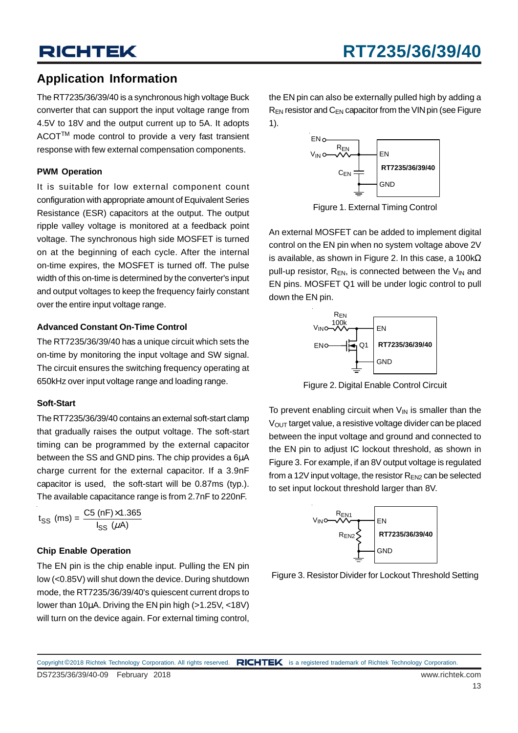### **Application Information**

The RT7235/36/39/40 is a synchronous high voltage Buck converter that can support the input voltage range from 4.5V to 18V and the output current up to 5A. It adopts ACOT™ mode control to provide a very fast transient response with few external compensation components.

### **PWM Operation**

It is suitable for low external component count configuration with appropriate amount of Equivalent Series Resistance (ESR) capacitors at the output. The output ripple valley voltage is monitored at a feedback point voltage. The synchronous high side MOSFET is turned on at the beginning of each cycle. After the internal on-time expires, the MOSFET is turned off. The pulse width of this on-time is determined by the converter's input and output voltages to keep the frequency fairly constant over the entire input voltage range.

### **Advanced Constant On-Time Control**

The RT7235/36/39/40 has a unique circuit which sets the on-time by monitoring the input voltage and SW signal. The circuit ensures the switching frequency operating at 650kHz over input voltage range and loading range.

### **Soft-Start**

The RT7235/36/39/40 contains an external soft-start clamp that gradually raises the output voltage. The soft-start timing can be programmed by the external capacitor between the SS and GND pins. The chip provides a 6µA charge current for the external capacitor. If a 3.9nF capacitor is used, the soft-start will be 0.87ms (typ.). The available capacitance range is from 2.7nF to 220nF.

$$
t_{SS}
$$
 (ms) =  $\frac{CS (nF) \times 1.365}{I_{SS} (\mu A)}$ 

### **Chip Enable Operation**

The EN pin is the chip enable input. Pulling the EN pin low (<0.85V) will shut down the device. During shutdown mode, the RT7235/36/39/40's quiescent current drops to lower than 10µA. Driving the EN pin high (>1.25V, <18V) will turn on the device again. For external timing control, the EN pin can also be externally pulled high by adding a  $R_{EN}$  resistor and  $C_{EN}$  capacitor from the VIN pin (see Figure 1).



Figure 1. External Timing Control

An external MOSFET can be added to implement digital control on the EN pin when no system voltage above 2V is available, as shown in Figure 2. In this case, a 100k $\Omega$ pull-up resistor,  $R_{EN}$ , is connected between the  $V_{IN}$  and EN pins. MOSFET Q1 will be under logic control to pull down the EN pin.



Figure 2. Digital Enable Control Circuit

To prevent enabling circuit when  $V_{\text{IN}}$  is smaller than the  $V<sub>OUT</sub>$  target value, a resistive voltage divider can be placed between the input voltage and ground and connected to the EN pin to adjust IC lockout threshold, as shown in Figure 3. For example, if an 8V output voltage is regulated from a 12V input voltage, the resistor  $R_{EN2}$  can be selected to set input lockout threshold larger than 8V.



Figure 3. Resistor Divider for Lockout Threshold Setting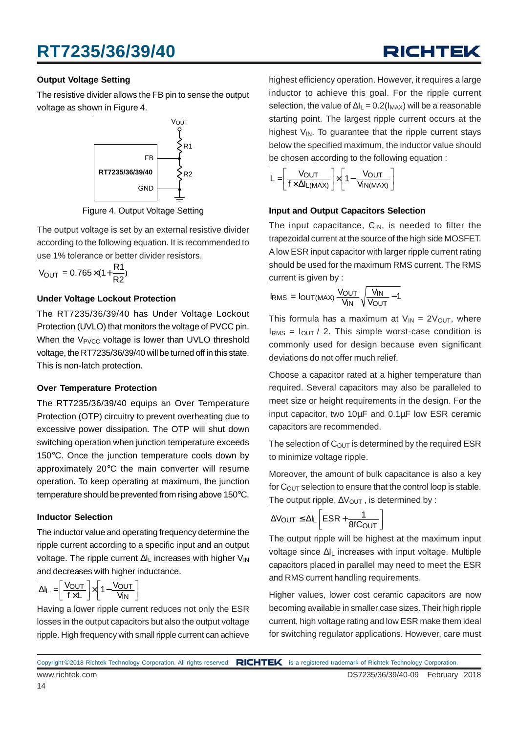## RICHTEK

### **Output Voltage Setting**

The resistive divider allows the FB pin to sense the output voltage as shown in Figure 4.



Figure 4. Output Voltage Setting

The output voltage is set by an external resistive divider according to the following equation. It is recommended to use 1% tolerance or better divider resistors.

$$
V_{\text{OUT}} = 0.765 \times (1 + \frac{R1}{R2})
$$

### **Under Voltage Lockout Protection**

The RT7235/36/39/40 has Under Voltage Lockout Protection (UVLO) that monitors the voltage of PVCC pin. When the  $V_{\text{PVCC}}$  voltage is lower than UVLO threshold voltage, the RT7235/36/39/40 will be turned off in this state. This is non-latch protection.

#### **Over Temperature Protection**

The RT7235/36/39/40 equips an Over Temperature Protection (OTP) circuitry to prevent overheating due to excessive power dissipation. The OTP will shut down switching operation when junction temperature exceeds 150°C. Once the junction temperature cools down by approximately 20°C the main converter will resume operation. To keep operating at maximum, the junction temperature should be prevented from rising above 150°C.

### **Inductor Selection**

The inductor value and operating frequency determine the ripple current according to a specific input and an output voltage. The ripple current ∆I<sub>L</sub> increases with higher V<sub>IN</sub> and decreases with higher inductance.

$$
\Delta I_L = \left[ \frac{V_{OUT}}{f \times L} \right] \times \left[ 1 - \frac{V_{OUT}}{V_{IN}} \right]
$$

Having a lower ripple current reduces not only the ESR losses in the output capacitors but also the output voltage ripple. High frequency with small ripple current can achieve

highest efficiency operation. However, it requires a large inductor to achieve this goal. For the ripple current selection, the value of  $\Delta I_L = 0.2(I_{MAX})$  will be a reasonable starting point. The largest ripple current occurs at the highest  $V_{IN}$ . To quarantee that the ripple current stays below the specified maximum, the inductor value should be chosen according to the following equation :



### **Input and Output Capacitors Selection**

The input capacitance,  $C_{IN}$ , is needed to filter the trapezoidal current at the source of the high side MOSFET. A low ESR input capacitor with larger ripple current rating should be used for the maximum RMS current. The RMS current is given by :

$$
I_{RMS} = I_{OUT(MAX)} \frac{V_{OUT}}{V_{IN}} \sqrt{\frac{V_{IN}}{V_{OUT}} - 1}
$$

This formula has a maximum at  $V_{IN} = 2V_{OUT}$ , where  $I<sub>RMS</sub> = I<sub>OUT</sub> / 2$ . This simple worst-case condition is commonly used for design because even significant deviations do not offer much relief.

Choose a capacitor rated at a higher temperature than required. Several capacitors may also be paralleled to meet size or height requirements in the design. For the input capacitor, two 10µF and 0.1µF low ESR ceramic capacitors are recommended.

The selection of  $C<sub>OUT</sub>$  is determined by the required ESR to minimize voltage ripple.

Moreover, the amount of bulk capacitance is also a key for  $C_{\text{OUT}}$  selection to ensure that the control loop is stable. The output ripple,  $\Delta V_{\text{OUT}}$ , is determined by :

$$
\Delta V_{OUT} \leq \Delta I_L \left[ESR + \frac{1}{8fC_{OUT}}\right]
$$

The output ripple will be highest at the maximum input voltage since ∆I<sub>L</sub> increases with input voltage. Multiple capacitors placed in parallel may need to meet the ESR and RMS current handling requirements.

Higher values, lower cost ceramic capacitors are now becoming available in smaller case sizes. Their high ripple current, high voltage rating and low ESR make them ideal for switching regulator applications. However, care must

14

Copyright ©2018 Richtek Technology Corporation. All rights reserved. RICHTEK is a registered trademark of Richtek Technology Corporation.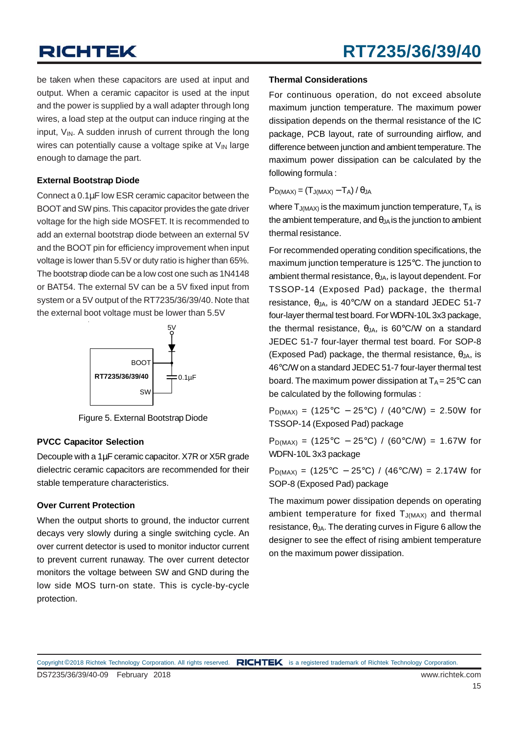be taken when these capacitors are used at input and output. When a ceramic capacitor is used at the input and the power is supplied by a wall adapter through long wires, a load step at the output can induce ringing at the input,  $V_{IN}$ . A sudden inrush of current through the long wires can potentially cause a voltage spike at  $V_{IN}$  large enough to damage the part.

#### **External Bootstrap Diode**

Connect a 0.1µF low ESR ceramic capacitor between the BOOT and SW pins. This capacitor provides the gate driver voltage for the high side MOSFET. It is recommended to add an external bootstrap diode between an external 5V and the BOOT pin for efficiency improvement when input voltage is lower than 5.5V or duty ratio is higher than 65%. The bootstrap diode can be a low cost one such as 1N4148 or BAT54. The external 5V can be a 5V fixed input from system or a 5V output of the RT7235/36/39/40. Note that the external boot voltage must be lower than 5.5V



Figure 5. External Bootstrap Diode

### **PVCC Capacitor Selection**

Decouple with a 1µF ceramic capacitor. X7R or X5R grade dielectric ceramic capacitors are recommended for their stable temperature characteristics.

### **Over Current Protection**

When the output shorts to ground, the inductor current decays very slowly during a single switching cycle. An over current detector is used to monitor inductor current to prevent current runaway. The over current detector monitors the voltage between SW and GND during the low side MOS turn-on state. This is cycle-by-cycle protection.

### **Thermal Considerations**

For continuous operation, do not exceed absolute maximum junction temperature. The maximum power dissipation depends on the thermal resistance of the IC package, PCB layout, rate of surrounding airflow, and difference between junction and ambient temperature. The maximum power dissipation can be calculated by the following formula :

 $P_{D(MAX)} = (T_{J(MAX)} - T_A)/\theta_{JA}$ 

where  $T_{J(MAX)}$  is the maximum junction temperature,  $T_A$  is the ambient temperature, and  $\theta_{JA}$  is the junction to ambient thermal resistance.

For recommended operating condition specifications, the maximum junction temperature is 125°C. The junction to ambient thermal resistance,  $\theta_{\text{JA}}$ , is layout dependent. For TSSOP-14 (Exposed Pad) package, the thermal resistance,  $\theta_{\text{JA}}$ , is 40°C/W on a standard JEDEC 51-7 four-layer thermal test board. For WDFN-10L 3x3 package, the thermal resistance,  $θ_{JA}$ , is 60°C/W on a standard JEDEC 51-7 four-layer thermal test board. For SOP-8 (Exposed Pad) package, the thermal resistance,  $\theta_{JA}$ , is 46°C/W on a standard JEDEC 51-7 four-layer thermal test board. The maximum power dissipation at  $T_A = 25^{\circ}C$  can be calculated by the following formulas :

 $P_{D(MAX)} = (125^{\circ}C - 25^{\circ}C) / (40^{\circ}C/W) = 2.50W$  for TSSOP-14 (Exposed Pad) package

P<sub>D(MAX)</sub> = (125°C – 25°C) / (60°C/W) = 1.67W for WDFN-10L 3x3 package

 $P_{D(MAX)} = (125^{\circ}C - 25^{\circ}C) / (46^{\circ}C/W) = 2.174W$  for SOP-8 (Exposed Pad) package

The maximum power dissipation depends on operating ambient temperature for fixed  $T_{J(MAX)}$  and thermal resistance,  $\theta_{JA}$ . The derating curves in Figure 6 allow the designer to see the effect of rising ambient temperature on the maximum power dissipation.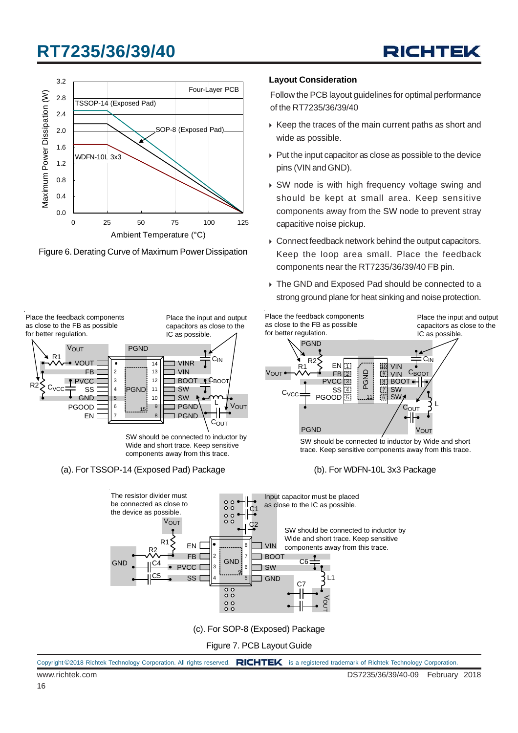





#### **Layout Consideration**

Follow the PCB layout guidelines for optimal performance of the RT7235/36/39/40

- $\triangleright$  Keep the traces of the main current paths as short and wide as possible.
- $\triangleright$  Put the input capacitor as close as possible to the device pins (VIN and GND).
- ▶ SW node is with high frequency voltage swing and should be kept at small area. Keep sensitive components away from the SW node to prevent stray capacitive noise pickup.
- ▶ Connect feedback network behind the output capacitors. Keep the loop area small. Place the feedback components near the RT7235/36/39/40 FB pin.
- ▶ The GND and Exposed Pad should be connected to a strong ground plane for heat sinking and noise protection.

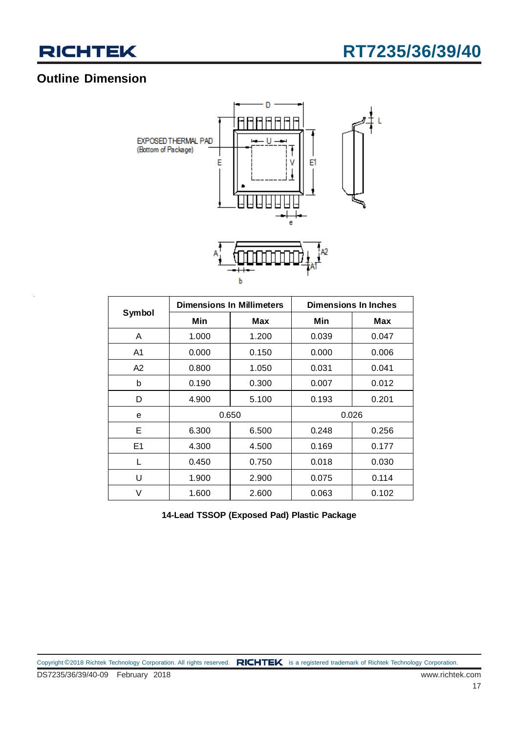

### **Outline Dimension**



|                |       | <b>Dimensions In Millimeters</b> | <b>Dimensions In Inches</b> |       |  |
|----------------|-------|----------------------------------|-----------------------------|-------|--|
| Symbol         | Min   | <b>Max</b>                       | Min                         | Max   |  |
| A              | 1.000 | 1.200                            | 0.039                       | 0.047 |  |
| A1             | 0.000 | 0.150                            | 0.000                       | 0.006 |  |
| A2             | 0.800 | 1.050                            | 0.031                       | 0.041 |  |
| b              | 0.190 | 0.300                            | 0.007                       | 0.012 |  |
| D              | 4.900 | 5.100                            | 0.193                       | 0.201 |  |
| е              |       | 0.650                            |                             | 0.026 |  |
| Е              | 6.300 | 6.500                            | 0.248                       | 0.256 |  |
| E <sub>1</sub> | 4.300 | 4.500                            | 0.169                       | 0.177 |  |
| L              | 0.450 | 0.750                            | 0.018                       | 0.030 |  |
| U              | 1.900 | 2.900                            | 0.075                       | 0.114 |  |
| V              | 1.600 | 2.600                            | 0.063                       | 0.102 |  |

**14-Lead TSSOP (Exposed Pad) Plastic Package**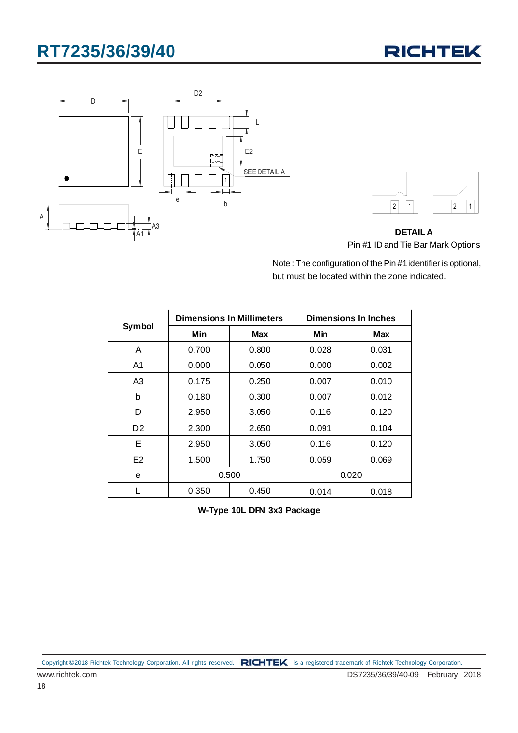





**DETAILA** Pin #1 ID and Tie Bar Mark Options

Note : The configuration of the Pin #1 identifier is optional, but must be located within the zone indicated.

|                |       | <b>Dimensions In Millimeters</b> | Dimensions In Inches |       |  |
|----------------|-------|----------------------------------|----------------------|-------|--|
| Symbol         | Min   | <b>Max</b>                       | Min                  | Max   |  |
| A              | 0.700 | 0.800                            | 0.028                | 0.031 |  |
| A1             | 0.000 | 0.050                            | 0.000                | 0.002 |  |
| A3             | 0.175 | 0.250                            | 0.007                | 0.010 |  |
| b              | 0.180 | 0.300                            | 0.007                | 0.012 |  |
| D              | 2.950 | 3.050                            | 0.116                | 0.120 |  |
| D <sub>2</sub> | 2.300 | 2.650                            | 0.091                | 0.104 |  |
| Е              | 2.950 | 3.050                            | 0.116                | 0.120 |  |
| E <sub>2</sub> | 1.500 | 1.750                            | 0.059                | 0.069 |  |
| e              | 0.500 |                                  |                      | 0.020 |  |
|                | 0.350 | 0.450                            | 0.014                | 0.018 |  |

**W-Type 10L DFN 3x3 Package**